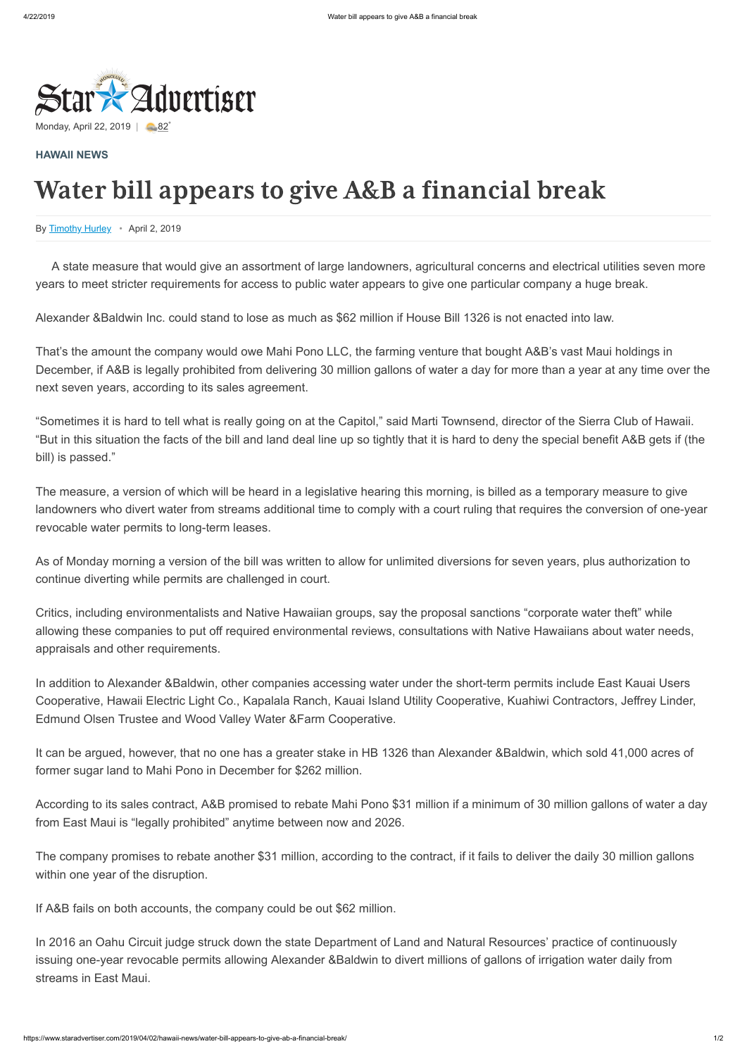

Monday, April 22, 2019 |  $\bigcirc$  [82](https://www.staradvertiser.com/hawaii-weather)<sup>°</sup>

## **[HAWAII NEWS](https://www.staradvertiser.com/category/hawaii-news/)**

## Water bill appears to give A&B a financial break

By [Timothy Hurley](https://www.staradvertiser.com/author/thurley/) • April 2, 2019

A state measure that would give an assortment of large landowners, agricultural concerns and electrical utilities seven more years to meet stricter requirements for access to public water appears to give one particular company a huge break.

Alexander &Baldwin Inc. could stand to lose as much as \$62 million if House Bill 1326 is not enacted into law.

That's the amount the company would owe Mahi Pono LLC, the farming venture that bought A&B's vast Maui holdings in December, if A&B is legally prohibited from delivering 30 million gallons of water a day for more than a year at any time over the next seven years, according to its sales agreement.

"Sometimes it is hard to tell what is really going on at the Capitol," said Marti Townsend, director of the Sierra Club of Hawaii. "But in this situation the facts of the bill and land deal line up so tightly that it is hard to deny the special benefit A&B gets if (the bill) is passed."

The measure, a version of which will be heard in a legislative hearing this morning, is billed as a temporary measure to give landowners who divert water from streams additional time to comply with a court ruling that requires the conversion of one-year revocable water permits to long-term leases.

As of Monday morning a version of the bill was written to allow for unlimited diversions for seven years, plus authorization to continue diverting while permits are challenged in court.

Critics, including environmentalists and Native Hawaiian groups, say the proposal sanctions "corporate water theft" while allowing these companies to put off required environmental reviews, consultations with Native Hawaiians about water needs, appraisals and other requirements.

In addition to Alexander &Baldwin, other companies accessing water under the short-term permits include East Kauai Users Cooperative, Hawaii Electric Light Co., Kapalala Ranch, Kauai Island Utility Cooperative, Kuahiwi Contractors, Jeffrey Linder, Edmund Olsen Trustee and Wood Valley Water &Farm Cooperative.

It can be argued, however, that no one has a greater stake in HB 1326 than Alexander &Baldwin, which sold 41,000 acres of former sugar land to Mahi Pono in December for \$262 million.

According to its sales contract, A&B promised to rebate Mahi Pono \$31 million if a minimum of 30 million gallons of water a day from East Maui is "legally prohibited" anytime between now and 2026.

The company promises to rebate another \$31 million, according to the contract, if it fails to deliver the daily 30 million gallons within one year of the disruption.

If A&B fails on both accounts, the company could be out \$62 million.

In 2016 an Oahu Circuit judge struck down the state Department of Land and Natural Resources' practice of continuously issuing one-year revocable permits allowing Alexander &Baldwin to divert millions of gallons of irrigation water daily from streams in East Maui.